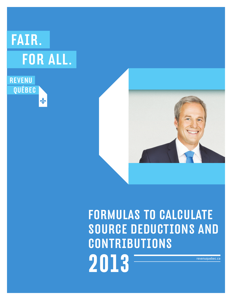# FAIR. **FOR ALL.**





# Formulas to calculate source deductions and **CONTRIBUTIONS 2013** revenuquebec.ca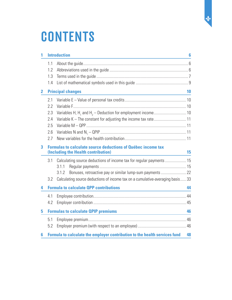# **CONTENTS**

| 1            |     | <b>Introduction</b>                                                                                              | 6  |  |  |  |
|--------------|-----|------------------------------------------------------------------------------------------------------------------|----|--|--|--|
|              | 1.1 |                                                                                                                  |    |  |  |  |
|              | 1.2 |                                                                                                                  |    |  |  |  |
|              | 1.3 |                                                                                                                  |    |  |  |  |
|              | 1.4 |                                                                                                                  |    |  |  |  |
| $\mathbf{2}$ |     | <b>Principal changes</b>                                                                                         | 10 |  |  |  |
|              | 2.1 |                                                                                                                  |    |  |  |  |
|              | 2.2 |                                                                                                                  |    |  |  |  |
|              | 2.3 |                                                                                                                  |    |  |  |  |
|              | 2.4 |                                                                                                                  |    |  |  |  |
|              | 2.5 |                                                                                                                  |    |  |  |  |
|              | 2.6 |                                                                                                                  |    |  |  |  |
|              | 2.7 |                                                                                                                  |    |  |  |  |
| 3            |     | <b>Formulas to calculate source deductions of Québec income tax</b><br>(Including the Health contribution)<br>15 |    |  |  |  |
|              |     |                                                                                                                  |    |  |  |  |
|              | 3.1 | Calculating source deductions of income tax for regular payments  15                                             |    |  |  |  |
|              |     | 3.1.1<br>Bonuses, retroactive pay or similar lump-sum payments  22<br>3.1.2                                      |    |  |  |  |
|              | 3.2 | Calculating source deductions of income tax on a cumulative-averaging basis 33                                   |    |  |  |  |
| 4            |     | <b>Formula to calculate QPP contributions</b>                                                                    | 44 |  |  |  |
|              | 4.1 | the control of the control of the control of the control of the control of                                       |    |  |  |  |
|              | 4.2 |                                                                                                                  |    |  |  |  |
|              |     |                                                                                                                  |    |  |  |  |
| 5            |     | <b>Formulas to calculate QPIP premiums</b>                                                                       | 46 |  |  |  |
|              | 5.1 |                                                                                                                  |    |  |  |  |
|              | 5.2 |                                                                                                                  |    |  |  |  |
| 6            |     | Formula to calculate the employer contribution to the health services fund                                       | 48 |  |  |  |

de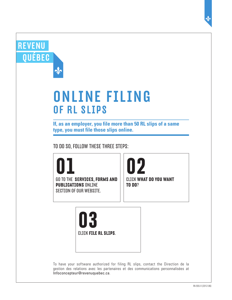| <b>ONLINE FILING</b><br>OF RL SLIPS                                                                     |                                                |
|---------------------------------------------------------------------------------------------------------|------------------------------------------------|
| If, as an employer, you file more than 50 RL slips of a same<br>type, you must file those slips online. |                                                |
| TO DO SO, FOLLOW THESE THREE STEPS:                                                                     |                                                |
| $\mathsf{U}\mathsf{I}$                                                                                  | 02                                             |
| <b>GO TO THE SERVICES, FORMS AND</b><br><b>PUBLICATIONS ONLINE</b><br><b>SECTION OF OUR WEBSITE.</b>    | <b>CLICK WHAT DO YOU WANT</b><br><b>TO DO?</b> |

RE

Q

To have your software authorized for filing RL slips, contact the Direction de la gestion des relations avec les partenaires et des communications personnalisées at Infoconcepteur@revenuquebec.ca.

 $\mathbf{\hat{\Phi}}$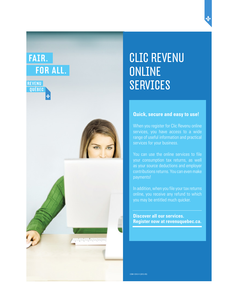# FAIR. **FOR ALL.**



# CLIC REVENU **ONLINE** SERVICES

# **Quick, secure and easy to use!**

When you register for Clic Revenu online services, you have access to a wide range of useful information and practical services for your business.

You can use the online services to file your consumption tax returns, as well as your source deductions and employer contributions returns. You can even make payments!

In addition, when you file your tax returns online, you receive any refund to which you may be entitled much quicker.

**Discover all our services. Register now at revenuquebec.ca.** 

COM-129.E-V (2012-05)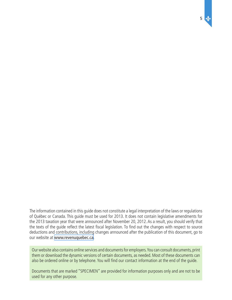The information contained in this guide does not constitute a legal interpretation of the laws or regulations of Québec or Canada. This guide must be used for 2013. It does not contain legislative amendments for the 2013 taxation year that were announced after November 20, 2012. As a result, you should verify that the texts of the guide reflect the latest fiscal legislation. To find out the changes with respect to source deductions and contributions, including changes announced after the publication of this document, go to our website at [www.revenuquebec.ca](www.revenu.gouv.qc.ca).

5

Our website also contains online services and documents for employers. You can consult documents, print them or download the dynamic versions of certain documents, as needed. Most of these documents can also be ordered online or by telephone. You will find our contact information at the end of the guide.

Documents that are marked "SPECIMEN" are provided for information purposes only and are not to be used for any other purpose.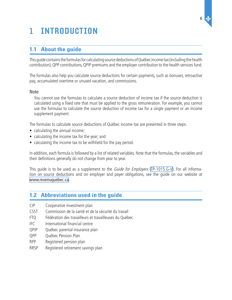# <span id="page-5-0"></span>1 Introduction

# **1.1 About the guide**

This guide contains the formulas for calculating source deductions of Québec income tax (including the health contribution), QPP contributions, QPIP premiums and the employer contribution to the health services fund.

The formulas also help you calculate source deductions for certain payments, such as bonuses, retroactive pay, accumulated overtime or unused vacation, and commissions.

### Note

You cannot use the formulas to calculate a source deduction of income tax if the source deduction is calculated using a fixed rate that must be applied to the gross remuneration. For example, you cannot use the formulas to calculate the source deduction of income tax for a single payment or an income supplement payment.

The formulas to calculate source deductions of Québec income tax are presented in three steps:

- calculating the annual income;
- calculating the income tax for the year; and
- calculating the income tax to be withheld for the pay period.

In addition, each formula is followed by a list of related variables. Note that the formulas, the variables and their definitions generally do not change from year to year.

This quide is to be used as a supplement to the *Guide for Employers* [\(TP-1015.G-V](http://www.revenu.gouv.qc.ca/en/sepf/formulaires/tp/tp-1015_g.aspx)). For all information on source deductions and on employer and payer obligations, see the guide on our website at [www.revenuquebec.ca](www.revenu.gouv.qc.ca).

# **1.2 Abbreviations used in the guide**

- CIP Cooperative investment plan
- CSST Commission de la santé et de la sécurité du travail
- FTQ Fédération des travailleurs et travailleuses du Québec
- IFC International financial centre
- QPIP Québec parental insurance plan
- QPP Québec Pension Plan
- RPP Registered pension plan
- RRSP Registered retirement savings plan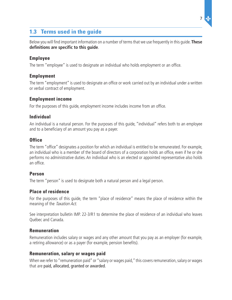# <span id="page-6-0"></span>**1.3 Terms used in the guide**

Below you will find important information on a number of terms that we use frequently in this guide. **These definitions are specific to this guide**.

# **Employee**

The term "employee" is used to designate an individual who holds employment or an office.

# **Employment**

The term "employment" is used to designate an office or work carried out by an individual under a written or verbal contract of employment.

# **Employment income**

For the purposes of this guide, employment income includes income from an office.

# **Individual**

An individual is a natural person. For the purposes of this guide, "individual" refers both to an employee and to a beneficiary of an amount you pay as a payer.

# **Office**

The term "office" designates a position for which an individual is entitled to be remunerated. For example, an individual who is a member of the board of directors of a corporation holds an office, even if he or she performs no administrative duties. An individual who is an elected or appointed representative also holds an office.

# **Person**

The term "person" is used to designate both a natural person and a legal person.

# **Place of residence**

For the purposes of this guide, the term "place of residence" means the place of residence within the meaning of the Taxation Act.

See interpretation bulletin IMP. 22-3/R1 to determine the place of residence of an individual who leaves Québec and Canada.

# **Remuneration**

Remuneration includes salary or wages and any other amount that you pay as an employer (for example, a retiring allowance) or as a payer (for example, pension benefits).

# **Remuneration, salary or wages paid**

When we refer to "remuneration paid" or "salary or wages paid," this covers remuneration, salary or wages that are paid, allocated, granted or awarded.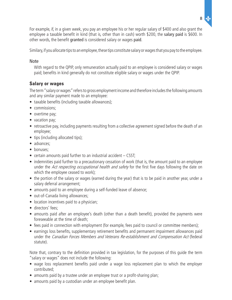

For example, if, in a given week, you pay an employee his or her regular salary of \$400 and also grant the employee a taxable benefit in kind (that is, other than in cash) worth \$200, the salary paid is \$600. In other words, the benefit granted is considered salary or wages paid.

Similary, if you allocate tips to an employee, these tips constitute salary or wages that you pay to the employee.

# Note

With regard to the QPIP, only remuneration actually paid to an employee is considered salary or wages paid; benefits in kind generally do not constitute eligible salary or wages under the QPIP.

# **Salary or wages**

The term "salary or wages" refers to gross employment income and therefore includes the following amounts and any similar payment made to an employee:

- taxable benefits (including taxable allowances);
- commissions:
- overtime pay;
- vacation pay;
- retroactive pay, including payments resulting from a collective agreement signed before the death of an employee;
- tips (including allocated tips);
- advances;
- bonuses:
- $\bullet$  certain amounts paid further to an industrial accident  $-$  CSST;
- indemnities paid further to a precautionary cessation of work (that is, the amount paid to an employee under the Act respecting occupational health and safety for the first five days following the date on which the employee ceased to work);
- the portion of the salary or wages (earned during the year) that is to be paid in another year, under a salary deferral arrangement;
- amounts paid to an employee during a self-funded leave of absence;
- out-of-Canada living allowances;
- location incentives paid to a physician;
- directors' fees:
- amounts paid after an employee's death (other than a death benefit), provided the payments were foreseeable at the time of death;
- fees paid in connection with employment (for example, fees paid to council or committee members);
- • earnings loss benefits, supplementary retirement benefits and permanent impairment allowances paid under the Canadian Forces Members and Veterans Re-establishment and Compensation Act (federal statute).

Note that, contrary to the definition provided in tax legislation, for the purposes of this guide the term "salary or wages" does not include the following:

- wage loss replacement benefits paid under a wage loss replacement plan to which the employer contributed;
- amounts paid by a trustee under an employee trust or a profit-sharing plan;
- amounts paid by a custodian under an employee benefit plan.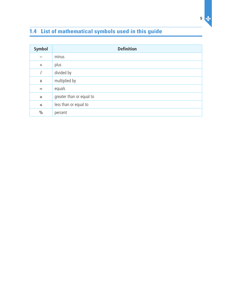# <span id="page-8-0"></span>**1.4 List of mathematical symbols used in this guide**

| Symbol        | <b>Definition</b>        |
|---------------|--------------------------|
|               | minus                    |
| $+$           | plus                     |
|               | divided by               |
| X             | multiplied by            |
| $=$           | equals                   |
| $\geq$        | greater than or equal to |
| $\leq$        | less than or equal to    |
| $\frac{0}{0}$ | percent                  |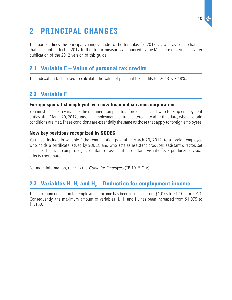### 10

# <span id="page-9-0"></span>2 Principal changes

This part outlines the principal changes made to the formulas for 2013, as well as some changes that came into effect in 2012 further to tax measures announced by the Ministère des Finances after publication of the 2012 version of this guide.

# **2.1 Variable E – Value of personal tax credits**

The indexation factor used to calculate the value of personal tax credits for 2013 is 2.48%.

# **2.2 Variable F**

# **Foreign specialist employed by a new financial services corporation**

You must include in variable F the remuneration paid to a foreign specialist who took up employment duties after March 20, 2012, under an employment contract entered into after that date, where certain conditions are met. These conditions are essentially the same as those that apply to foreign employees.

# **New key positions recognized by SODEC**

You must include in variable F the remuneration paid after March 20, 2012, to a foreign employee who holds a certificate issued by SODEC and who acts as assistant producer, assistant director, set designer, financial comptroller, accountant or assistant accountant, visual effects producer or visual effects coordinator.

For more information, refer to the *Guide for Employers* (TP 1015.G-V).

# **2.3 Variables H, H<sub>1</sub> and H<sub>2</sub> – Deduction for employment income**

The maximum deduction for employment income has been increased from \$1,075 to \$1,100 for 2013. Consequently, the maximum amount of variables H, H<sub>1</sub> and H<sub>2</sub> has been increased from \$1,075 to \$1,100.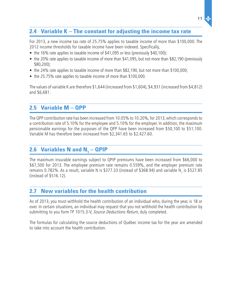# <span id="page-10-0"></span>**2.4 Variable K – The constant for adjusting the income tax rate**

For 2013, a new income tax rate of 25.75% applies to taxable income of more than \$100,000. The 2012 income thresholds for taxable income have been indexed. Specifically,

- the 16% rate applies to taxable income of \$41,095 or less (previously \$40,100);
- the 20% rate applies to taxable income of more than \$41,095, but not more than \$82,190 (previously \$80,200);
- the 24% rate applies to taxable income of more than \$82,190, but not more than \$100,000;
- the 25.75% rate applies to taxable income of more than \$100,000.

The values of variable K are therefore \$1,644 (increased from \$1,604), \$4,931 (increased from \$4,812) and \$6,681.

# **2.5 Variable M – QPP**

The QPP contribution rate has been increased from 10.05% to 10.20%, for 2013, which corresponds to a contribution rate of 5.10% for the employee and 5.10% for the employer. In addition, the maximum pensionable earnings for the purposes of the QPP have been increased from \$50,100 to \$51,100. Variable M has therefore been increased from \$2,341.65 to \$2,427.60.

# **2.6 Variables N and N<sub>1</sub> – QPIP**

The maximum insurable earnings subject to QPIP premiums have been increased from \$66,000 to \$67,500 for 2013. The employee premium rate remains 0.559%, and the employer premium rate remains 0.782%. As a result, variable N is \$377.33 (instead of \$368.94) and variable N<sub>1</sub> is \$527.85 (instead of \$516.12).

# **2.7 New variables for the health contribution**

As of 2013, you must withhold the health contribution of an individual who, during the year, is 18 or over. In certain situations, an individual may request that you not withhold the health contribution by submitting to you form TP 1015.3-V, Source Deductions Return, duly completed.

The formulas for calculating the source deductions of Québec income tax for the year are amended to take into account the health contribution.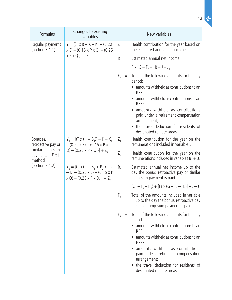| <b>Formulas</b>                                | Changes to existing<br>variables                                                                                                                                                                                                                                                                      | New variables  |           |                                                                                                                                           |
|------------------------------------------------|-------------------------------------------------------------------------------------------------------------------------------------------------------------------------------------------------------------------------------------------------------------------------------------------------------|----------------|-----------|-------------------------------------------------------------------------------------------------------------------------------------------|
| Regular payments<br>(section 3.1.1)            | $Y = [(T \times I) - K - K_1 - (0.20$<br>$x E$ ) – (0.15 x P x Q) – (0.25                                                                                                                                                                                                                             | Z              | $=$       | Health contribution for the year based on<br>the estimated annual net income                                                              |
|                                                | $[X P X Q_1] + Z$                                                                                                                                                                                                                                                                                     | R              | $=$       | Estimated annual net income                                                                                                               |
|                                                |                                                                                                                                                                                                                                                                                                       |                |           | $= P \times (G - F_2 - H) - J - J_1$                                                                                                      |
|                                                |                                                                                                                                                                                                                                                                                                       | $F_{2}$        |           | $=$ Total of the following amounts for the pay<br>period:                                                                                 |
|                                                |                                                                                                                                                                                                                                                                                                       |                |           | • amounts withheld as contributions to an<br>RPP;                                                                                         |
|                                                |                                                                                                                                                                                                                                                                                                       |                |           | • amounts withheld as contributions to an<br>RRSP;                                                                                        |
|                                                |                                                                                                                                                                                                                                                                                                       |                |           | • amounts withheld as contributions<br>paid under a retirement compensation<br>arrangement;                                               |
|                                                |                                                                                                                                                                                                                                                                                                       |                |           | • the travel deduction for residents of<br>designated remote areas.                                                                       |
| Bonuses,<br>retroactive pay or                 | $Y_1 = [(T \times (I_1 + B_1)) - K - K_1]$<br>$-(0.20 \times E)-(0.15 \times P \times$<br>Q) – (0.25 x P x Q <sub>1</sub> )] + Z <sub>1</sub><br>$Y_2 = [(T \times (I_1 + B_1 + B_2)) - K]$<br>$-K_1 - (0.20 \times E) - (0.15 \times P)$<br>$x Q$ ) – (0.25 x P x Q <sub>1</sub> )] + Z <sub>2</sub> |                |           | $Z_1$ = Health contribution for the year on the<br>remunerations included in variable $B_1$                                               |
| similar lump-sum<br>payments - First<br>method |                                                                                                                                                                                                                                                                                                       | $Z_{2}$        |           | $=$ Health contribution for the year on the<br>remunerations included in variables $B_1 + B_2$                                            |
| (section 3.1.2)                                |                                                                                                                                                                                                                                                                                                       |                |           | $R_1$ = Estimated annual net income up to the<br>day the bonus, retroactive pay or similar<br>lump-sum payment is paid                    |
|                                                |                                                                                                                                                                                                                                                                                                       |                |           | $= (G_1 - F_3 - H_1) + [Pr X (G - F_2 - H_2)] - J - J_1$                                                                                  |
|                                                |                                                                                                                                                                                                                                                                                                       |                |           | $F_3$ = Total of the amounts included in variable<br>$F2$ up to the day the bonus, retroactive pay<br>or similar lump-sum payment is paid |
|                                                |                                                                                                                                                                                                                                                                                                       | F <sub>2</sub> | $\quad =$ | Total of the following amounts for the pay<br>period:                                                                                     |
|                                                |                                                                                                                                                                                                                                                                                                       |                |           | amounts withheld as contributions to an<br>RPP;                                                                                           |
|                                                |                                                                                                                                                                                                                                                                                                       |                |           | amounts withheld as contributions to an<br>RRSP;                                                                                          |
|                                                |                                                                                                                                                                                                                                                                                                       |                |           | amounts withheld as contributions<br>paid under a retirement compensation<br>arrangement;                                                 |
|                                                |                                                                                                                                                                                                                                                                                                       |                |           | • the travel deduction for residents of<br>designated remote areas.                                                                       |

12 of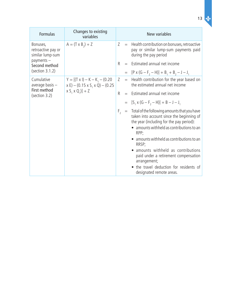| <b>Formulas</b>                                    | Changes to existing<br>variables                                                                              | New variables  |  |                                                                                                                                                                                                                                                                                                                                                                                                                            |
|----------------------------------------------------|---------------------------------------------------------------------------------------------------------------|----------------|--|----------------------------------------------------------------------------------------------------------------------------------------------------------------------------------------------------------------------------------------------------------------------------------------------------------------------------------------------------------------------------------------------------------------------------|
| Bonuses,<br>retroactive pay or<br>similar lump-sum | $A = (T \times B_2) + Z$                                                                                      |                |  | $Z =$ Health contribution on bonuses, retroactive<br>pay or similar lump-sum payments paid<br>during the pay period                                                                                                                                                                                                                                                                                                        |
| payments-<br>Second method                         |                                                                                                               | R.             |  | $=$ Estimated annual net income                                                                                                                                                                                                                                                                                                                                                                                            |
| (section 3.1.2)                                    |                                                                                                               |                |  | $= [P \times (G - F, -H)] + B_1 + B_2 - J - J_1$                                                                                                                                                                                                                                                                                                                                                                           |
| Cumulative<br>average basis $-$                    | $Y = [(T \times I) - K - K_1 - (0.20$<br>$x E$ ) – (0.15 x S <sub>1</sub> x Q) – (0.25<br>$[X S_1 X Q_1]$ + Z |                |  | $Z =$ Health contribution for the year based on<br>the estimated annual net income                                                                                                                                                                                                                                                                                                                                         |
| First method<br>(section 3.2)                      |                                                                                                               | $\mathsf{R}$   |  | $=$ Estimated annual net income                                                                                                                                                                                                                                                                                                                                                                                            |
|                                                    |                                                                                                               |                |  | $= [S_1 \times (G - F_2 - H)] + B - J - J_1$                                                                                                                                                                                                                                                                                                                                                                               |
|                                                    |                                                                                                               | F <sub>2</sub> |  | $=$ Total of the following amounts that you have<br>taken into account since the beginning of<br>the year (including for the pay period):<br>• amounts withheld as contributions to an<br>RPP;<br>• amounts withheld as contributions to an<br>RRSP;<br>• amounts withheld as contributions<br>paid under a retirement compensation<br>arrangement;<br>• the travel deduction for residents of<br>designated remote areas. |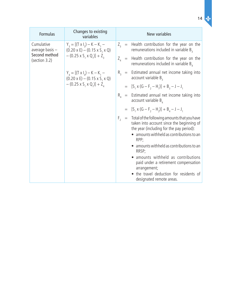|   | ٠  |
|---|----|
|   | ۰. |
|   |    |
| ۰ |    |
|   |    |

 $\dot{q}$ 

| Formulas                        | Changes to existing<br>variables                                                                                                                              | New variables                                                                                                                                                                                                                                                                                                                                                                                                                                      |  |
|---------------------------------|---------------------------------------------------------------------------------------------------------------------------------------------------------------|----------------------------------------------------------------------------------------------------------------------------------------------------------------------------------------------------------------------------------------------------------------------------------------------------------------------------------------------------------------------------------------------------------------------------------------------------|--|
| Cumulative<br>average basis $-$ | $Y_3 = [(T \times I_3) - K - K_1 -$<br>$(0.20 \times E) - (0.15 \times S, \times Q)$<br>$-$ (0.25 x S <sub>1</sub> x Q <sub>1</sub> )] + Z <sub>2</sub>       | $Z_{3}$ = Health contribution for the year on the<br>remunerations included in variable $B_3$                                                                                                                                                                                                                                                                                                                                                      |  |
| Second method<br>(section 3.2)  |                                                                                                                                                               | Health contribution for the year on the<br>$Z_{\scriptscriptstyle A}$ =<br>remunerations included in variable $B_{\mu}$                                                                                                                                                                                                                                                                                                                            |  |
|                                 | $Y_{4} = [(T \times I_{4}) - K - K_{1} -$<br>$(0.20 \times E) - (0.15 \times S, \times Q)$<br>$-$ (0.25 x S <sub>1</sub> x Q <sub>1</sub> )] + Z <sub>4</sub> | $R_3$ = Estimated annual net income taking into<br>account variable $B_{3}$                                                                                                                                                                                                                                                                                                                                                                        |  |
|                                 |                                                                                                                                                               | $= [S_1 \times (G - F_2 - H_1)] + B_2 - J - J_1$                                                                                                                                                                                                                                                                                                                                                                                                   |  |
|                                 |                                                                                                                                                               | $R_{A}$ = Estimated annual net income taking into<br>account variable $B_{\alpha}$                                                                                                                                                                                                                                                                                                                                                                 |  |
|                                 |                                                                                                                                                               | $= [S_1 \times (G - F_2 - H_2)] + B_4 - J - J_1$                                                                                                                                                                                                                                                                                                                                                                                                   |  |
|                                 |                                                                                                                                                               | Total of the following amounts that you have<br>F <sub>2</sub><br>$\equiv$<br>taken into account since the beginning of<br>the year (including for the pay period):<br>• amounts withheld as contributions to an<br>RPP;<br>• amounts withheld as contributions to an<br>RRSP;<br>• amounts withheld as contributions<br>paid under a retirement compensation<br>arrangement;<br>the travel deduction for residents of<br>designated remote areas. |  |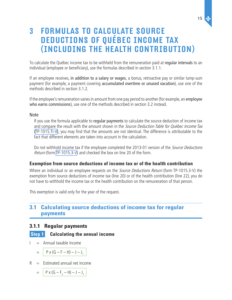15

# <span id="page-14-0"></span>3 Formulas to calculate source deductions of Québec income tax (Including the Health contribution)

To calculate the Québec income tax to be withheld from the remuneration paid at regular intervals to an individual (employee or beneficiary), use the formulas described in section 3.1.1.

If an employee receives, in addition to a salary or wages, a bonus, retroactive pay or similar lump-sum payment (for example, a payment covering accumulated overtime or unused vacation), use one of the methods described in section 3.1.2.

If the employee's remuneration varies in amount from one pay period to another (for example, an employee who earns commissions), use one of the methods described in section 3.2 instead.

#### **Note**

If you use the formula applicable to regular payments to calculate the source deduction of income tax and compare the result with the amount shown in the Source Deduction Table for Québec Income Tax [\(TP-1015.TI-V\)](http://www.revenu.gouv.qc.ca/en/sepf/formulaires/tp/tp-1015_ti.aspx), you may find that the amounts are not identical. The difference is attributable to the fact that different elements are taken into account in the calculation.

Do not withhold income tax if the employee completed the 2013-01 version of the Source Deductions Return (form TP-1015.3-V) and checked the box on line 20 of the form.

# **Exemption from source deductions of income tax or of the health contribution**

Where an individual or an employee requests on the *Source Deductions Return* (form TP-1015.3-V) the exemption from source deductions of income tax (line 20) or of the health contribution (line 22), you do not have to withhold the income tax or the health contribution on the remuneration of that person.

This exemption is valid only for the year of the request.

# **3.1 Calculating source deductions of income tax for regular payments**

# **3.1.1 Regular payments**

# **Step 1 Calculating the annual income**

 $I =$  Annual taxable income

$$
= | P \times (G - F - H) - J - J1 |
$$

 $R =$  Estimated annual net income

$$
= | P \times (G - F_2 - H) - J - J_1 |
$$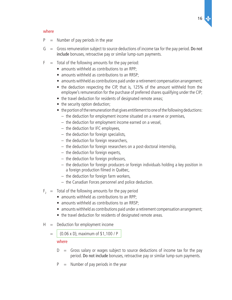

#### where

- $P =$  Number of pay periods in the year
- $G =$  Gross remuneration subject to source deductions of income tax for the pay period. Do not include bonuses, retroactive pay or similar lump-sum payments.
- $F =$  Total of the following amounts for the pay period:
	- amounts withheld as contributions to an RPP;
	- amounts withheld as contributions to an RRSP:
	- amounts withheld as contributions paid under a retirement compensation arrangement;
	- the deduction respecting the CIP, that is, 125% of the amount withheld from the employee's remuneration for the purchase of preferred shares qualifying under the CIP;
	- the travel deduction for residents of designated remote areas;
	- the security option deduction;
	- the portion of the remuneration that gives entitlement to one of the following deductions:
		- $-$  the deduction for employment income situated on a reserve or premises,
		- the deduction for employment income earned on a vessel,
		- the deduction for IFC employees,
		- $-$  the deduction for foreign specialists,
		- $-$  the deduction for foreign researchers,
		- $-$  the deduction for foreign researchers on a post-doctoral internship,
		- $-$  the deduction for foreign experts,
		- $-$  the deduction for foreign professors,
		- $-$  the deduction for foreign producers or foreign individuals holding a key position in a foreign production filmed in Québec,
		- $-$  the deduction for foreign farm workers,
		- the Canadian Forces personnel and police deduction.
- $F<sub>2</sub>$  = Total of the following amounts for the pay period
	- amounts withheld as contributions to an RPP;
	- amounts withheld as contributions to an RRSP:
	- amounts withheld as contributions paid under a retirement compensation arrangement;
	- the travel deduction for residents of designated remote areas.
- $H =$  Deduction for employment income
	- $=$  (0.06 x D), maximum of \$1,100 / P

#### where

- $D =$  Gross salary or wages subject to source deductions of income tax for the pay period. Do not include bonuses, retroactive pay or similar lump-sum payments.
- $P =$  Number of pay periods in the year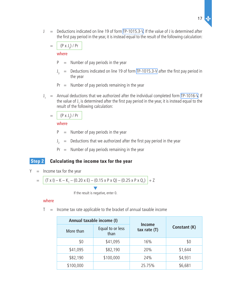$J =$  Deductions indicated on line 19 of form [TP-1015.3-V](http://www.revenu.gouv.qc.ca/en/sepf/formulaires/tp/tp-1015_3.aspx). If the value of J is determined after the first pay period in the year, it is instead equal to the result of the following calculation:

$$
= \left( \left( P \times J_3 \right) / \Pr \right)
$$

where

- $P =$  Number of pay periods in the year
- $J_{3}$  $=$  Deductions indicated on line 19 of form [TP-1015.3-V](http://www.revenu.gouv.qc.ca/en/sepf/formulaires/tp/tp-1015_3.aspx) after the first pay period in the year
- $Pr =$  Number of pay periods remaining in the year
- $J_1$  = Annual deductions that we authorized after the individual completed form [TP-1016-V.](http://www.revenu.gouv.qc.ca/en/sepf/formulaires/tp/tp-1016.aspx) If the value of J<sub>1</sub> is determined after the first pay period in the year, it is instead equal to the result of the following calculation:
	- $= | (P \times J_2) / Pr$

#### where

- $P =$  Number of pay periods in the year
- $J_{2}$  $=$  Deductions that we authorized after the first pay period in the year
- $Pr =$  Number of pay periods remaining in the year

# **Step 2 Calculating the income tax for the year**

 $Y =$  Income tax for the year

$$
= \left[ (T \times I) - K - K_1 - (0.20 \times E) - (0.15 \times P \times Q) - (0.25 \times P \times Q_1) \right] + Z
$$

If the result is negative, enter 0.

#### where

 $T =$  Income tax rate applicable to the bracket of annual taxable income

| Annual taxable income (I) |                          |                                 |              |  |
|---------------------------|--------------------------|---------------------------------|--------------|--|
| More than                 | Equal to or less<br>than | <b>Income</b><br>tax rate $(T)$ | Constant (K) |  |
| \$0                       | \$41,095                 | 16%                             | \$0          |  |
| \$41,095                  | \$82,190                 | 20%                             | \$1,644      |  |
| \$82,190                  | \$100,000                | 24%                             | \$4,931      |  |
| \$100,000                 |                          | 25.75%                          | \$6,681      |  |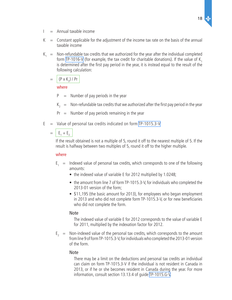- $I =$  Annual taxable income
- $K =$  Constant applicable for the adjustment of the income tax rate on the basis of the annual taxable income
- $K<sub>1</sub>$  = Non-refundable tax credits that we authorized for the year after the individual completed form [TP-1016-V](http://www.revenu.gouv.qc.ca/en/sepf/formulaires/tp/tp-1016.aspx) (for example, the tax credit for charitable donations). If the value of K. is determined after the first pay period in the year, it is instead equal to the result of the following calculation:

$$
= \left( (P \times K_2) / P r \right)
$$

#### where

- $P =$  Number of pay periods in the year
- $K<sub>2</sub>$  = Non-refundable tax credits that we authorized after the first pay period in the year
- $Pr =$  Number of pay periods remaining in the year
- $E =$  Value of personal tax credits indicated on form [TP-1015.3-V](http://www.revenu.gouv.qc.ca/en/sepf/formulaires/tp/tp-1015_3.aspx)

$$
= \boxed{\mathsf{E}_1 + \mathsf{E}_2}
$$

If the result obtained is not a multiple of 5, round it off to the nearest multiple of 5. If the result is halfway between two multiples of 5, round it off to the higher multiple.

#### where

- $E_1$  = Indexed value of personal tax credits, which corresponds to one of the following amounts:
	- the indexed value of variable E for 2012 multiplied by 1.0248;
	- the amount from line 7 of form TP-1015.3-V, for individuals who completed the 2013-01 version of the form;
	- \$11,195 (the basic amount for 2013), for employees who began employment in 2013 and who did not complete form TP-1015.3-V, or for new beneficiaries who did not complete the form.

#### Note

The indexed value of variable E for 2012 corresponds to the value of variable E for 2011, multiplied by the indexation factor for 2012.

 $E<sub>2</sub>$  = Non-indexed value of the personal tax credits, which corresponds to the amount from line 9 of form TP-1015.3-V, for individuals who completed the 2013-01 version of the form.

#### Note

There may be a limit on the deductions and personal tax credits an individual can claim on form TP‑1015.3-V if the individual is not resident in Canada in 2013, or if he or she becomes resident in Canada during the year. For more information, consult section 13.13.4 of guide [TP-1015.G-V](http://www.revenu.gouv.qc.ca/en/sepf/formulaires/tp/tp-1015_g.aspx).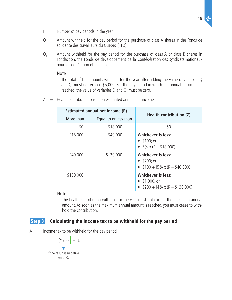- $P =$  Number of pay periods in the year
- $Q =$  Amount withheld for the pay period for the purchase of class A shares in the Fonds de solidarité des travailleurs du Québec (FTQ)
- $Q_1$  = Amount withheld for the pay period for the purchase of class A or class B shares in Fondaction, the Fonds de développement de la Confédération des syndicats nationaux pour la coopération et l'emploi

#### Note

The total of the amounts withheld for the year after adding the value of variables Q and  $Q_1$  must not exceed \$5,000. For the pay period in which the annual maximum is reached, the value of variables Q and  $\mathsf{Q}_{_1}$  must be zero.

 $Z =$  Health contribution based on estimated annual net income

|           | Estimated annual net income (R) | Health contribution (Z)                                                                |  |
|-----------|---------------------------------|----------------------------------------------------------------------------------------|--|
| More than | Equal to or less than           |                                                                                        |  |
| \$0       | \$18,000                        | \$0                                                                                    |  |
| \$18,000  | \$40,000                        | <b>Whichever is less:</b><br>• $$100; or$<br>• $5\% \times (R - $18,000)$ .            |  |
| \$40,000  | \$130,000                       | <b>Whichever is less:</b><br>• $$200; or$<br>• $$100 + [5\% \times (R - $40,000)].$    |  |
| \$130,000 |                                 | <b>Whichever is less:</b><br>• $$1,000;$ or<br>• $$200 + [4\% \times (R - $130,000)].$ |  |

#### Note

The health contribution withheld for the year must not exceed the maximum annual amount. As soon as the maximum annual amount is reached, you must cease to withhold the contribution.

# **Step 3** Calculating the income tax to be withheld for the pay period

 $A =$  Income tax to be withheld for the pay period

$$
= \frac{\left( \gamma / P \right) + L}{P}
$$
\nIf the result is negative, enter 0.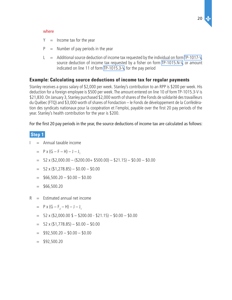

#### where

- $Y =$  Income tax for the year
- $P =$  Number of pay periods in the year
- $L =$  Additional source deduction of income tax requested by the individual on form [TP-1017-V,](http://www.revenu.gouv.qc.ca/en/sepf/formulaires/tp/tp-1017.aspx) source deduction of income tax requested by a fisher on form [TP-1015.N-V](http://www.revenu.gouv.qc.ca/en/sepf/formulaires/tp/tp-1015_n.aspx), or amount indicated on line 11 of form [TP-1015.3-V,](http://www.revenu.gouv.qc.ca/en/sepf/formulaires/tp/tp-1015_3.aspx) for the pay period

# **Example: Calculating source deductions of income tax for regular payments**

Stanley receives a gross salary of \$2,000 per week. Stanley's contribution to an RPP is \$200 per week. His deduction for a foreign employee is \$500 per week. The amount entered on line 10 of form TP-1015.3-V is \$21,830. On January 3, Stanley purchased \$2,000 worth of shares of the Fonds de solidarité des travailleurs du Québec (FTQ) and \$3,000 worth of shares of Fondaction – le Fonds de développement de la Confédération des syndicats nationaux pour la coopération et l'emploi, payable over the first 20 pay periods of the year. Stanley's health contribution for the year is \$200.

For the first 20 pay periods in the year, the source deductions of income tax are calculated as follows:

# **Step 1**

- $I =$  Annual taxable income
- $=$  P x (G F H) J J<sub>1</sub>
	- $=$  52 x (\$2,000.00 (\$200.00+ \$500.00) \$21.15) \$0.00 \$0.00
	- $=$  52 x (\$1,278.85) \$0.00 \$0.00
	- $=$  \$66,500.20 \$0.00 \$0.00
	- $=$  \$66,500.20
- $R =$  Estimated annual net income
- $=$  P x (G F<sub>2</sub> H) J J<sub>1</sub>
	- $=$  52 x (\$2,000.00 \$ \$200.00 \$21.15) \$0.00 \$0.00
	- $=$  52 x (\$1,778.85) \$0.00 \$0.00
	- $=$  \$92,500.20 \$0.00 \$0.00
	- $=$  \$92,500.20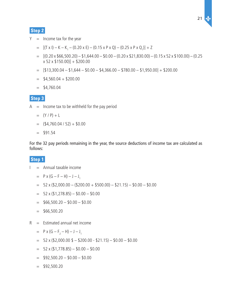# **Step 2**

- $Y =$  Income tax for the year
- =  $[(T \times I) K K_1 (0.20 \times E) (0.15 \times P \times Q) (0.25 \times P \times Q_1)] + Z$ 
	- $=$  [(0.20 x \$66,500.20) \$1,644.00 \$0.00 (0.20 x \$21,830.00) (0.15 x 52 x \$100.00) (0.25  $x 52 x $150.00] + $200.00$
	- $=$  [\$13,300.04 \$1,644 \$0.00 \$4,366.00 \$780.00 \$1,950.00] + \$200.00
	- $=$  \$4,560.04 + \$200.00
	- $=$  \$4,760.04

### **Step 3**

- $A =$  Income tax to be withheld for the pay period
	- $= (Y / P) + L$
	- $=$   $(4,760.04 / 52) + 0.00$
	- $=$  \$91.54

For the 32 pay periods remaining in the year, the source deductions of income tax are calculated as follows:

# **Step 1**

- $I =$  Annual taxable income
- $=$  P x (G F H) J J<sub>1</sub>
	- $=$  52 x (\$2,000.00 (\$200.00 + \$500.00) \$21.15) \$0.00 \$0.00
	- $=$  52 x (\$1,278.85) \$0.00 \$0.00
	- $=$  \$66,500.20 \$0.00 \$0.00
	- $=$  \$66,500.20
- $R =$  Estimated annual net income
- $=$  P x (G F<sub>2</sub> H) J J<sub>1</sub>
	- $= 52 \times (\$2,000.00 \text{ } \$ \$200.00 \$21.15) \$0.00 \$0.00$
	- $= 52 \times (\$1,778.85) \$0.00 \$0.00$
	- $=$  \$92,500.20 \$0.00 \$0.00
	- $=$  \$92,500.20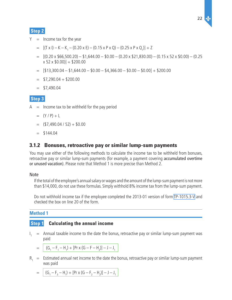# <span id="page-21-0"></span> **Step 2**

- $Y =$  Income tax for the year
- =  $[(T \times I) K K_1 (0.20 \times E) (0.15 \times P \times Q) (0.25 \times P \times Q_1)] + Z$ 
	- $=$  [(0.20 x \$66,500.20) \$1,644.00 \$0.00 (0.20 x \$21,830.00) (0.15 x 52 x \$0.00) (0.25  $x 52 x $0.00$ ] + \$200.00
	- $=$  [\$13,300.04 \$1,644.00 \$0.00 \$4,366.00 \$0.00 \$0.00] + \$200.00
	- $=$  \$7,290.04 + \$200.00
	- $=$  \$7,490.04

### **Step 3**

- $A =$  Income tax to be withheld for the pay period
	- $= (Y / P) + L$
	- $=$   $(57,490.04 / 52) + 0.00$
	- $=$  \$144.04

# **3.1.2 Bonuses, retroactive pay or similar lump-sum payments**

You may use either of the following methods to calculate the income tax to be withheld from bonuses, retroactive pay or similar lump-sum payments (for example, a payment covering accumulated overtime or unused vacation). Please note that Method 1 is more precise than Method 2.

#### Note

If the total of the employee's annual salary or wages and the amount of the lump-sum payment is not more than \$14,000, do not use these formulas. Simply withhold 8% income tax from the lump-sum payment.

Do not withhold income tax if the employee completed the 2013-01 version of form TP-1015.3-V and checked the box on line 20 of the form.

# **Method 1**

# **Step 1 Calculating the annual income**

 $\mathbf{I}_{\mathbf{I}}$  $=$  Annual taxable income to the date the bonus, retroactive pay or similar lump-sum payment was paid

$$
= | (G_1 - F_1 - H_1) + [Pr \times (G - F - H_2)] - J - J_1
$$

 $R_1$  = Estimated annual net income to the date the bonus, retroactive pay or similar lump-sum payment was paid

$$
= | (G_1 - F_3 - H_1) + [Pr \times (G - F_2 - H_2)] - J - J_1
$$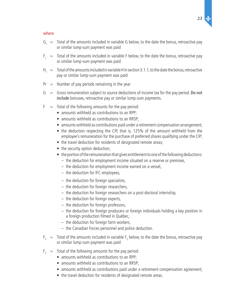#### where

- $G_1$  = Total of the amounts included in variable G below, to the date the bonus, retroactive pay or similar lump-sum payment was paid
- $F_1$  = Total of the amounts included in variable F below, to the date the bonus, retroactive pay or similar lump-sum payment was paid
- $H_1 =$  Total of the amounts included in variable H in section 3.1.1, to the date the bonus, retroactive pay or similar lump-sum payment was paid
- $Pr =$  Number of pay periods remaining in the year
- $G =$  Gross remuneration subject to source deductions of income tax for the pay period. Do not include bonuses, retroactive pay or similar lump-sum payments.
- $F =$  Total of the following amounts for the pay period:
	- amounts withheld as contributions to an RPP;
	- amounts withheld as contributions to an RRSP;
	- amounts withheld as contributions paid under a retirement compensation arrangement;
	- the deduction respecting the CIP, that is, 125% of the amount withheld from the employee's remuneration for the purchase of preferred shares qualifying under the CIP;
	- the travel deduction for residents of designated remote areas;
	- the security option deduction;
	- the portion of the remuneration that gives entitlement to one of the following deductions:
		- $-$  the deduction for employment income situated on a reserve or premises,
		- the deduction for employment income earned on a vessel,
		- $-$  the deduction for IFC employees,
		- $-$  the deduction for foreign specialists,
		- $-$  the deduction for foreign researchers,
		- the deduction for foreign researchers on a post-doctoral internship,
		- $-$  the deduction for foreign experts,
		- $-$  the deduction for foreign professors,
		- the deduction for foreign producers or foreign individuals holding a key position in a foreign production filmed in Québec,
		- $-$  the deduction for foreign farm workers,
		- $-$  the Canadian Forces personnel and police deduction.
- $F_3 =$  Total of the amounts included in variable  $F_2$  below, to the date the bonus, retroactive pay or similar lump-sum payment was paid
- $F<sub>2</sub>$  = Total of the following amounts for the pay period:
	- amounts withheld as contributions to an RPP;
	- amounts withheld as contributions to an RRSP;
	- amounts withheld as contributions paid under a retirement compensation agreement;
	- the travel deduction for residents of designated remote areas.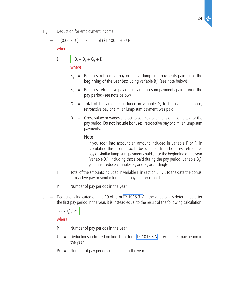$H<sub>2</sub>$  = Deduction for employment income

= 
$$
(0.06 \times D_1)
$$
, maximum of  $(\$1,100 - H_1)/P$ 

where

$$
D_1 = \boxed{B_1 + B_2 + G_1 + D}
$$

where

- $B_1$  = Bonuses, retroactive pay or similar lump-sum payments paid since the beginning of the year (excluding variable  $B_2$ ) (see note below)
- $B<sub>2</sub>$  = Bonuses, retroactive pay or similar lump-sum payments paid during the pay period (see note below)
- $G_1$  = Total of the amounts included in variable G, to the date the bonus, retroactive pay or similar lump-sum payment was paid
- $D =$  Gross salary or wages subject to source deductions of income tax for the pay period. Do not include bonuses, retroactive pay or similar lump-sum payments.

#### Note

If you took into account an amount included in variable F or  $F_2$  in calculating the income tax to be withheld from bonuses, retroactive pay or similar lump-sum payments paid since the beginning of the year (variable  $B_1$ ), including those paid during the pay period (variable  $B_2$ ), you must reduce variables  ${\tt B}_{\rm 1}$  and  ${\tt B}_{\rm 2}$  accordingly.

- $H_1 =$  Total of the amounts included in variable H in section 3.1.1, to the date the bonus, retroactive pay or similar lump-sum payment was paid
- $P =$  Number of pay periods in the year
- $J =$  Deductions indicated on line 19 of form [TP-1015.3-V](http://www.revenu.gouv.qc.ca/en/sepf/formulaires/tp/tp-1015_3.aspx). If the value of J is determined after the first pay period in the year, it is instead equal to the result of the following calculation:
	- $= | (P \times J_{3}) / Pr$

#### where

- $P =$  Number of pay periods in the year
- $J_{3}$  = Deductions indicated on line 19 of form [TP-1015.3-V](http://www.revenu.gouv.qc.ca/en/sepf/formulaires/tp/tp-1015_3.aspx) after the first pay period in the year
- $Pr =$  Number of pay periods remaining in the year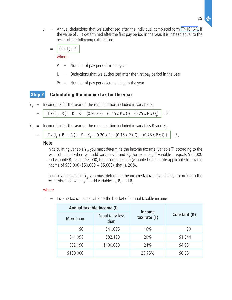$J_1$  = Annual deductions that we authorized after the individual completed form [TP-1016-V.](http://www.revenu.gouv.qc.ca/en/sepf/formulaires/tp/tp-1016.aspx) If the value of J<sub>1</sub> is determined after the first pay period in the year, it is instead equal to the result of the following calculation:

$$
= \left[ \left( P \times J_2 \right) / \Pr \right]
$$

where

- $P =$  Number of pay periods in the year
- $J_{2}$  $=$  Deductions that we authorized after the first pay period in the year
- $Pr =$  Number of pay periods remaining in the year

# **Step 2 Calculating the income tax for the year**

 $Y_1$  = Income tax for the year on the remuneration included in variable B<sub>1</sub>

$$
= \left[ [T \times (I_1 + B_1)] - K - K_1 - (0.20 \times E) - (0.15 \times P \times Q) - (0.25 \times P \times Q_1) \right] + Z_1
$$

 $Y_2$  = Income tax for the year on the remuneration included in variables B<sub>1</sub> and B<sub>2</sub>

$$
= \left[ [T \times (I_1 + B_1 + B_2)] - K - K_1 - (0.20 \times E) - (0.15 \times P \times Q) - (0.25 \times P \times Q_1) \right] + Z_2
$$

#### Note

In calculating variable Y<sub>1</sub>, you must determine the income tax rate (variable T) according to the result obtained when you add variables  $I_1$  and  $B_1$ . For example, if variable  $I_1$  equals \$50,000 and variable B<sub>1</sub> equals \$5,000, the income tax rate (variable T) is the rate applicable to taxable income of \$55,000 (\$50,000 + \$5,000), that is, 20%.

In calculating variable  $Y_{2}$ , you must determine the income tax rate (variable T) according to the result obtained when you add variables  $I_1$ ,  $B_1$  and  $B_2$ .

#### where

- **Annual taxable income (I) Income**  More than Equal to or less **tax rate (T) Constant (K)** than \$0 \$41,095 16% \$0 \$41,095 \$82,190 20% \$1,644 \$82,190 \$100,000 24% \$4,931 \$100,000 25.75% \$6,681
- $T =$  Income tax rate applicable to the bracket of annual taxable income

่งใ∕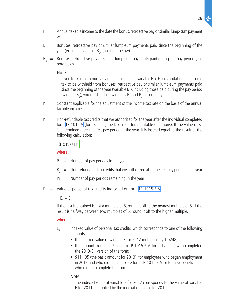- $\mathsf{I}$  $=$  Annual taxable income to the date the bonus, retroactive pay or similar lump-sum payment was paid
- $B_1$  = Bonuses, retroactive pay or similar lump-sum payments paid since the beginning of the year (excluding variable  $B_2$ ) (see note below)
- $B<sub>2</sub>$  = Bonuses, retroactive pay or similar lump-sum payments paid during the pay period (see note below)

#### Note

If you took into account an amount included in variable F or  $\mathsf{F}_2$  in calculating the income tax to be withheld from bonuses, retroactive pay or similar lump-sum payments paid since the beginning of the year (variable  $B_1$ ), including those paid during the pay period (variable  $B_2$ ), you must reduce variables  $B_1$  and  $B_2$  accordingly.

- $K =$  Constant applicable for the adjustment of the income tax rate on the basis of the annual taxable income
- $K_1$  = Non-refundable tax credits that we authorized for the year after the individual completed form [TP-1016-V](http://www.revenu.gouv.qc.ca/en/sepf/formulaires/tp/tp-1016.aspx) (for example, the tax credit for charitable donations). If the value of  $K<sub>1</sub>$ is determined after the first pay period in the year, it is instead equal to the result of the following calculation:

$$
= \left[ \left( P \times K_2 \right) / \Pr \right]
$$

where

 $P =$  Number of pay periods in the year

- $K<sub>2</sub>$  = Non-refundable tax credits that we authorized after the first pay period in the year
- $Pr =$  Number of pay periods remaining in the year
- $E =$  Value of personal tax credits indicated on form [TP-1015.3-V](http://www.revenu.gouv.qc.ca/en/sepf/formulaires/tp/tp-1015_3.aspx)
	- $= |E_1 + E_2|$

If the result obtained is not a multiple of 5, round it off to the nearest multiple of 5. If the result is halfway between two multiples of 5, round it off to the higher multiple.

# where

- $E_1$  = Indexed value of personal tax credits, which corresponds to one of the following amounts:
	- the indexed value of variable E for 2012 multiplied by 1.0248;
	- the amount from line 7 of form TP-1015.3-V, for individuals who completed the 2013-01 version of the form;
	- \$11,195 (the basic amount for 2013), for employees who began employment in 2013 and who did not complete form TP-1015.3-V, or for new beneficiaries who did not complete the form.

# Note

The indexed value of variable E for 2012 corresponds to the value of variable E for 2011, multiplied by the indexation factor for 2012.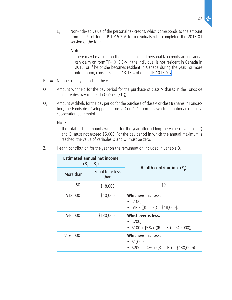$E_2$  = Non-indexed value of the personal tax credits, which corresponds to the amount from line 9 of form TP-1015.3-V, for individuals who completed the 2013-01 version of the form.

#### Note

There may be a limit on the deductions and personal tax credits an individual can claim on form TP‑1015.3-V if the individual is not resident in Canada in 2013, or if he or she becomes resident in Canada during the year. For more information, consult section 13.13.4 of guide [TP-1015.G-V](http://www.revenu.gouv.qc.ca/en/sepf/formulaires/tp/tp-1015_g.aspx).

- $P =$  Number of pay periods in the year
- $Q =$  Amount withheld for the pay period for the purchase of class A shares in the Fonds de solidarité des travailleurs du Québec (FTQ)
- $Q_1$  = Amount withheld for the pay period for the purchase of class A or class B shares in Fondaction, the Fonds de développement de la Confédération des syndicats nationaux pour la coopération et l'emploi

#### Note

The total of the amounts withheld for the year after adding the value of variables Q and  $Q_1$  must not exceed \$5,000. For the pay period in which the annual maximum is reached, the value of variables Q and  $\mathsf{Q}_{1}$  must be zero.

|           | <b>Estimated annual net income</b><br>$(R_1 + B_1)$ |                                                                                                     |  |
|-----------|-----------------------------------------------------|-----------------------------------------------------------------------------------------------------|--|
| More than | Equal to or less<br>than                            | Health contribution $(Z_1)$                                                                         |  |
| \$0       | \$18,000                                            | \$0                                                                                                 |  |
| \$18,000  | \$40,000                                            | <b>Whichever is less:</b><br>$\bullet$ \$100;<br>• 5% x $[(R_1 + B_1) - $18,000]$ .                 |  |
| \$40,000  | \$130,000                                           | <b>Whichever is less:</b><br>$\bullet$ \$200;<br>• $$100 + [5\% \times ((R_1 + B_1) - $40,000))]$ . |  |
| \$130,000 |                                                     | <b>Whichever is less:</b><br>• $$1,000;$<br>• \$200 + $[4\% \times ((R_1 + B_1) - $130,000)]$ .     |  |

 $Z_1$  = Health contribution for the year on the remuneration included in variable B<sub>1</sub>

่งใ∕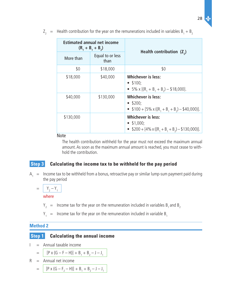$Z_2$  = Health contribution for the year on the remunerations included in variables  $B_1 + B_2$ 

|           | <b>Estimated annual net income</b><br>$(R_1 + B_1 + B_2)$ | Health contribution $(Z_2)$                                                                             |  |
|-----------|-----------------------------------------------------------|---------------------------------------------------------------------------------------------------------|--|
| More than | Equal to or less<br>than                                  |                                                                                                         |  |
| \$0       | \$18,000                                                  | \$0                                                                                                     |  |
| \$18,000  | \$40,000                                                  | <b>Whichever is less:</b><br>$\bullet$ \$100;<br>• 5% x $[(R_1 + B_1 + B_2) - $18,000]$ .               |  |
| \$40,000  | \$130,000                                                 | <b>Whichever is less:</b><br>$\bullet$ \$200;<br>• $$100 + [5\% \times ((R_1 + B_1 + B_2) - $40,000)].$ |  |
| \$130,000 |                                                           | <b>Whichever is less:</b><br>• $$1,000;$<br>• $$200 + [4\% \times ((R_1 + B_1 + B_2) - $130,000)].$     |  |

Note

The health contribution withheld for the year must not exceed the maximum annual amount. As soon as the maximum annual amount is reached, you must cease to withhold the contribution.

# **Step 3 Calculating the income tax to be withheld for the pay period**

 $A_1 =$  Income tax to be withheld from a bonus, retroactive pay or similar lump-sum payment paid during the pay period

 $= \begin{vmatrix} Y_2 - Y_1 \end{vmatrix}$ 

where

- $Y_2$  = Income tax for the year on the remuneration included in variables B<sub>1</sub> and B<sub>2</sub>
- $Y_1$  = Income tax for the year on the remuneration included in variable  $B_1$

#### **Method 2**

# **Step 1** Calculating the annual income

 $I =$  Annual taxable income

$$
= | [P \times (G - F - H)] + B_1 + B_2 - J - J_1
$$

- $R =$  Annual net income
	- $=$   $[P \times (G F_2 H)] + B_1 + B_2 J J_1$

 $28$   $\Delta$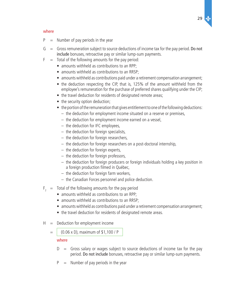#### where

- $P =$  Number of pay periods in the year
- $G =$  Gross remuneration subject to source deductions of income tax for the pay period. Do not include bonuses, retroactive pay or similar lump-sum payments.
- $F =$  Total of the following amounts for the pay period:
	- amounts withheld as contributions to an RPP:
	- amounts withheld as contributions to an RRSP;
	- amounts withheld as contributions paid under a retirement compensation arrangement;
	- the deduction respecting the CIP, that is, 125% of the amount withheld from the employee's remuneration for the purchase of preferred shares qualifying under the CIP;
	- the travel deduction for residents of designated remote areas;
	- the security option deduction;
	- the portion of the remuneration that gives entitlement to one of the following deductions:
		- $-$  the deduction for employment income situated on a reserve or premises,
		- $-$  the deduction for employment income earned on a vessel,
		- $-$  the deduction for IFC employees,
		- $-$  the deduction for foreign specialists,
		- $-$  the deduction for foreign researchers,
		- $-$  the deduction for foreign researchers on a post-doctoral internship,
		- $-$  the deduction for foreign experts,
		- the deduction for foreign professors,
		- $-$  the deduction for foreign producers or foreign individuals holding a key position in a foreign production filmed in Québec,
		- $-$  the deduction for foreign farm workers,
		- the Canadian Forces personnel and police deduction.
- $F<sub>2</sub>$  = Total of the following amounts for the pay period
	- amounts withheld as contributions to an RPP;
	- amounts withheld as contributions to an RRSP;
	- amounts withheld as contributions paid under a retirement compensation arrangement;
	- the travel deduction for residents of designated remote areas.
- $H =$  Deduction for employment income
	- $=$   $(0.06 \times D)$ , maximum of \$1,100 / P

#### where

- $D =$  Gross salary or wages subject to source deductions of income tax for the pay period. Do not include bonuses, retroactive pay or similar lump-sum payments.
- $P =$  Number of pay periods in the year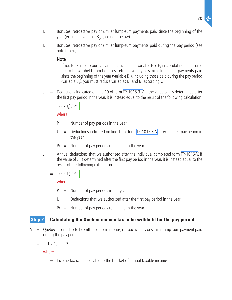- $B<sub>1</sub>$  = Bonuses, retroactive pay or similar lump-sum payments paid since the beginning of the year (excluding variable  $\texttt{B}_{\texttt{2}}$ ) (see note below)
- $B<sub>2</sub>$  = Bonuses, retroactive pay or similar lump-sum payments paid during the pay period (see note below)

#### Note

If you took into account an amount included in variable F or  $\mathsf{F}_2$  in calculating the income tax to be withheld from bonuses, retroactive pay or similar lump-sum payments paid since the beginning of the year (variable  $B_1$ ), including those paid during the pay period (variable  $B_2$ ), you must reduce variables  $B_1$  and  $B_2$  accordingly.

 $J =$  Deductions indicated on line 19 of form [TP-1015.3-V](http://www.revenu.gouv.qc.ca/en/sepf/formulaires/tp/tp-1015_3.aspx). If the value of J is determined after the first pay period in the year, it is instead equal to the result of the following calculation:

$$
= \int (P \times J_3) / P r
$$

where

- $P =$  Number of pay periods in the year
- $J_{3}$  $=$  Deductions indicated on line 19 of form [TP-1015.3-V](http://www.revenu.gouv.qc.ca/en/sepf/formulaires/tp/tp-1015_3.aspx) after the first pay period in the year
- $Pr =$  Number of pay periods remaining in the year
- $J_1$  = Annual deductions that we authorized after the individual completed form [TP-1016-V.](http://www.revenu.gouv.qc.ca/en/sepf/formulaires/tp/tp-1016.aspx) If the value of J<sub>1</sub> is determined after the first pay period in the year, it is instead equal to the result of the following calculation:

$$
= \int (P \times J_2) / Pr
$$

where

- $P =$  Number of pay periods in the year
- $\int_{\gamma}$  $=$  Deductions that we authorized after the first pay period in the year
- $Pr =$  Number of pay periods remaining in the year

# **Step 2 Calculating the Québec income tax to be withheld for the pay period**

 $A =$  Québec income tax to be withheld from a bonus, retroactive pay or similar lump-sum payment paid during the pay period

$$
= \left[ \begin{array}{c} T \times B_2 \end{array} \right] + Z
$$

where

 $T =$  Income tax rate applicable to the bracket of annual taxable income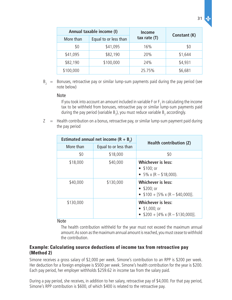|           | Annual taxable income (I) | <b>Income</b>  | Constant (K) |  |
|-----------|---------------------------|----------------|--------------|--|
| More than | Equal to or less than     | tax rate $(T)$ |              |  |
| \$0       | \$41,095                  | 16%            | \$0          |  |
| \$41,095  | \$82,190                  | 20%            | \$1,644      |  |
| \$82,190  | \$100,000                 | 24%            | \$4,931      |  |
| \$100,000 |                           | 25.75%         | \$6,681      |  |

 $B<sub>2</sub>$  = Bonuses, retroactive pay or similar lump-sum payments paid during the pay period (see note below)

#### Note

If you took into account an amount included in variable F or  $\mathsf{F}_2$  in calculating the income tax to be withheld from bonuses, retroactive pay or similar lump-sum payments paid during the pay period (variable B<sub>2</sub>), you must reduce variable B<sub>2</sub> accordingly.

 $Z =$  Health contribution on a bonus, retroactive pay, or similar lump-sum payment paid during the pay period

| Estimated annual net income $(R + B_2)$ |                       | Health contribution (Z)                                                                |
|-----------------------------------------|-----------------------|----------------------------------------------------------------------------------------|
| More than                               | Equal to or less than |                                                                                        |
| \$0                                     | \$18,000              | \$0                                                                                    |
| \$18,000                                | \$40,000              | <b>Whichever is less:</b><br>• $$100; or$<br>• $5\% \times (R - $18,000)$ .            |
| \$40,000                                | \$130,000             | <b>Whichever is less:</b><br>• $$200; or$<br>• $$100 + [5\% \times (R - $40,000)].$    |
| \$130,000                               |                       | <b>Whichever is less:</b><br>• $$1,000;$ or<br>• $$200 + [4\% \times (R - $130,000)].$ |

#### Note

The health contribution withheld for the year must not exceed the maximum annual amount. As soon as the maximum annual amount is reached, you must cease to withhold the contribution.

# **Example: Calculating source deductions of income tax from retroactive pay (Method 2)**

Simone receives a gross salary of \$2,000 per week. Simone's contribution to an RPP is \$200 per week. Her deduction for a foreign employee is \$500 per week. Simone's health contribution for the year is \$200. Each pay period, her employer withholds \$259.62 in income tax from the salary paid.

During a pay period, she receives, in addition to her salary, retroactive pay of \$4,000. For that pay period, Simone's RPP contribution is \$600, of which \$400 is related to the retroactive pay.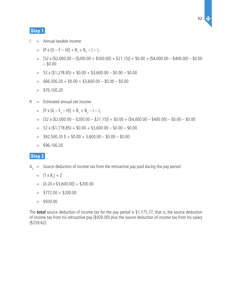# **Step 1**

- $I =$  Annual taxable income
- $=$  [P x (G F H)] + B<sub>1</sub> + B<sub>2</sub> J J<sub>1</sub>
	- $=$  [52 x (\$2,000.00 (\$200.00 + \$500.00) + \$21.15)] + \$0.00 + (\$4,000.00 \$400.00) \$0.00  $-$  \$0.00
	- $=$  52 x (\$1,278.85) + \$0.00 + \$3,600.00 \$0.00 \$0.00
	- $=$  \$66,500.20 + \$0.00 + \$3,600.00 \$0.00 \$0.00
	- $=$  \$70,100.20
- $R =$  Estimated annual net income
- $= [P \times (G F_2 H)] + B_1 + B_2 J J_1$ 
	- $=$  [52 x (\$2,000.00 \$200.00 \$21.15)] + \$0.00 + (\$4,000.00 \$400.00) \$0.00 \$0.00
	- $=$  52 x (\$1,778.85) + \$0.00 + \$3,600.00 \$0.00 \$0.00
	- $=$  \$92,500.20 \$ + \$0.00 + 3,600.00 \$0.00 \$0.00
	- $=$  \$96,100.20

# **Step 2**

- $A_3$  = Source deduction of income tax from the retroactive pay paid during the pay period
	- $=$   $[T \times B_2] + Z$
	- $=$  [0.20 x \$3,600.00] + \$200.00
	- $=$  \$772.00 + \$200.00
	- $=$  \$920.00

The **total** source deduction of income tax for the pay period is \$1,175.77, that is, the source deduction of income tax from his retroactive pay (\$920.00) plus the source deduction of income tax from his salary (\$259.62).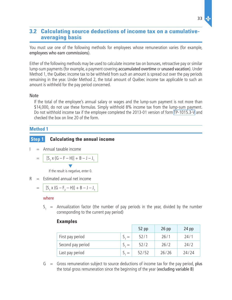# <span id="page-32-0"></span>**3.2 Calculating source deductions of income tax on a cumulativeaveraging basis**

You must use one of the following methods for employees whose remuneration varies (for example, employees who earn commissions).

Either of the following methods may be used to calculate income tax on bonuses, retroactive pay or similar lump-sum payments (for example, a payment covering accumulated overtime or unused vacation). Under Method 1, the Québec income tax to be withheld from such an amount is spread out over the pay periods remaining in the year. Under Method 2, the total amount of Québec income tax applicable to such an amount is withheld for the pay period concerned.

#### Note

If the total of the employee's annual salary or wages and the lump-sum payment is not more than \$14,000, do not use these formulas. Simply withhold 8% income tax from the lump-sum payment. Do not withhold income tax if the employee completed the 2013-01 version of form [TP-1015.3-V](http://www.revenu.gouv.qc.ca/en/sepf/formulaires/tp/tp-1015_3.aspx) and checked the box on line 20 of the form.

# **Method 1**

# **Step 1** Calculating the annual income

 $I =$  Annual taxable income

$$
= \left[ [S_1 \times (G - F - H)] + B - J - J_1 \right]
$$

▼ If the result is negative, enter 0.

 $R =$  Estimated annual net income

$$
= \left[ [S_1 \times (G - F_2 - H)] + B - J - J_1 \right]
$$

#### where

 $S_1$  = Annualization factor (the number of pay periods in the year, divided by the number corresponding to the current pay period)

#### **Examples**

|                   |     | $52$ pp | $26$ pp | $24$ pp |
|-------------------|-----|---------|---------|---------|
| First pay period  |     | 52/1    | 26/1    | 24/1    |
| Second pay period | $=$ | 52/2    | 26/2    | 24/2    |
| Last pay period   |     | 52/52   | 26/26   | 24/24   |

 $G =$  Gross remuneration subject to source deductions of income tax for the pay period, plus the total gross remuneration since the beginning of the year (excluding variable B)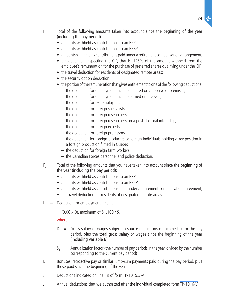- $F =$  Total of the following amounts taken into account since the beginning of the year (including the pay period):
	- amounts withheld as contributions to an RPP;
	- amounts withheld as contributions to an RRSP:
	- amounts withheld as contributions paid under a retirement compensation arrangement;
	- the deduction respecting the CIP, that is, 125% of the amount withheld from the employee's remuneration for the purchase of preferred shares qualifying under the CIP;
	- the travel deduction for residents of designated remote areas;
	- the security option deduction;
	- the portion of the remuneration that gives entitlement to one of the following deductions:
		- the deduction for employment income situated on a reserve or premises,
		- $-$  the deduction for employment income earned on a vessel,
		- $-$  the deduction for IFC employees,
		- $-$  the deduction for foreign specialists,
		- $-$  the deduction for foreign researchers,
		- $-$  the deduction for foreign researchers on a post-doctoral internship,
		- $-$  the deduction for foreign experts,
		- $-$  the deduction for foreign professors,
		- $-$  the deduction for foreign producers or foreign individuals holding a key position in a foreign production filmed in Québec,
		- $-$  the deduction for foreign farm workers,
		- $-$  the Canadian Forces personnel and police deduction.
- $F<sub>2</sub>$  = Total of the following amounts that you have taken into account since the beginning of the year (including the pay period):
	- amounts withheld as contributions to an RPP;
	- amounts withheld as contributions to an RRSP;
	- amounts withheld as contributions paid under a retirement compensation agreement;
	- the travel deduction for residents of designated remote areas.
- $H =$  Deduction for employment income
	- $=$  (0.06 x D), maximum of \$1,100 / S<sub>1</sub>

#### where

- $D =$  Gross salary or wages subject to source deductions of income tax for the pay period, plus the total gross salary or wages since the beginning of the year (including variable B)
- $S_1$  = Annualization factor (the number of pay periods in the year, divided by the number corresponding to the current pay period)
- $B =$  Bonuses, retroactive pay or similar lump-sum payments paid during the pay period, plus those paid since the beginning of the year
- $J =$  Deductions indicated on line 19 of form [TP-1015.3-V](http://www.revenu.gouv.qc.ca/en/sepf/formulaires/tp/tp-1015_3.aspx)
- $J_1$  = Annual deductions that we authorized after the individual completed form [TP-1016-V](http://www.revenu.gouv.qc.ca/en/sepf/formulaires/tp/tp-1016.aspx)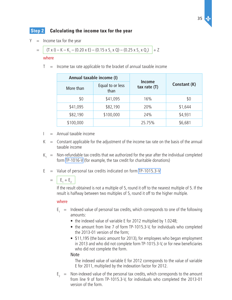# **Step 2 Calculating the income tax for the year**

 $Y =$  Income tax for the year

$$
= (Tx I) - K - K1 - (0.20 x E) - (0.15 x S1 x Q) - (0.25 x S1 x Q1) + Z
$$

#### where

 $T =$  Income tax rate applicable to the bracket of annual taxable income

| Annual taxable income (I) |                          |                                 |              |  |
|---------------------------|--------------------------|---------------------------------|--------------|--|
| More than                 | Equal to or less<br>than | <b>Income</b><br>tax rate $(T)$ | Constant (K) |  |
| \$0                       | \$41,095                 | 16%                             | \$0          |  |
| \$41,095                  | \$82,190                 | 20%                             | \$1,644      |  |
| \$82,190                  | \$100,000                | 24%                             | \$4,931      |  |
| \$100,000                 |                          | 25.75%                          | \$6,681      |  |

- $I =$  Annual taxable income
- $K =$  Constant applicable for the adjustment of the income tax rate on the basis of the annual taxable income
- $K_1$  = Non-refundable tax credits that we authorized for the year after the individual completed form [TP-1016-V](http://www.revenu.gouv.qc.ca/en/sepf/formulaires/tp/tp-1016.aspx) (for example, the tax credit for charitable donations)
- $E =$  Value of personal tax credits indicated on form [TP-1015.3-V](http://www.revenu.gouv.qc.ca/en/sepf/formulaires/tp/tp-1015_3.aspx)

 $= |E_1 + E_2|$ 

If the result obtained is not a multiple of 5, round it off to the nearest multiple of 5. If the result is halfway between two multiples of 5, round it off to the higher multiple.

#### where

- $E_1$  = Indexed value of personal tax credits, which corresponds to one of the following amounts:
	- the indexed value of variable E for 2012 multiplied by 1.0248;
	- the amount from line 7 of form TP-1015.3-V, for individuals who completed the 2013-01 version of the form;
	- \$11,195 (the basic amount for 2013), for employees who began employment in 2013 and who did not complete form TP-1015.3-V, or for new beneficiaries who did not complete the form.

#### Note

The indexed value of variable E for 2012 corresponds to the value of variable E for 2011, multiplied by the indexation factor for 2012.

 $E<sub>2</sub>$  = Non-indexed value of the personal tax credits, which corresponds to the amount from line 9 of form TP-1015.3-V, for individuals who completed the 2013-01 version of the form.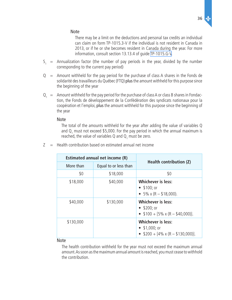

There may be a limit on the deductions and personal tax credits an individual can claim on form TP‑1015.3-V if the individual is not resident in Canada in 2013, or if he or she becomes resident in Canada during the year. For more information, consult section 13.13.4 of guide [TP-1015.G-V](http://www.revenu.gouv.qc.ca/en/sepf/formulaires/tp/tp-1015_g.aspx).

- $S_1$  = Annualization factor (the number of pay periods in the year, divided by the number corresponding to the current pay period)
- $Q =$  Amount withheld for the pay period for the purchase of class A shares in the Fonds de solidarité des travailleurs du Québec (FTQ) plus the amount withheld for this purpose since the beginning of the year
- $Q_1 = A$ mount withheld for the pay period for the purchase of class A or class B shares in Fondaction, the Fonds de développement de la Confédération des syndicats nationaux pour la coopération et l'emploi, plus the amount withheld for this purpose since the beginning of the year

#### Note

The total of the amounts withheld for the year after adding the value of variables Q and  $Q_1$  must not exceed \$5,000. For the pay period in which the annual maximum is reached, the value of variables Q and  $\mathsf{Q}_{1}$  must be zero.

 $Z =$  Health contribution based on estimated annual net income

| Estimated annual net income (R) |                       | <b>Health contribution (Z)</b>                                                         |
|---------------------------------|-----------------------|----------------------------------------------------------------------------------------|
| More than                       | Equal to or less than |                                                                                        |
| \$0                             | \$18,000              | \$0                                                                                    |
| \$18,000                        | \$40,000              | <b>Whichever is less:</b><br>• $$100; or$<br>• $5\% \times (R - $18,000)$ .            |
| \$40,000                        | \$130,000             | <b>Whichever is less:</b><br>• $$200; or$<br>• $$100 + [5\% \times (R - $40,000)].$    |
| \$130,000                       |                       | <b>Whichever is less:</b><br>• $$1,000;$ or<br>• $$200 + [4\% \times (R - $130,000)].$ |

#### Note

The health contribution withheld for the year must not exceed the maximum annual amount. As soon as the maximum annual amount is reached, you must cease to withhold the contribution.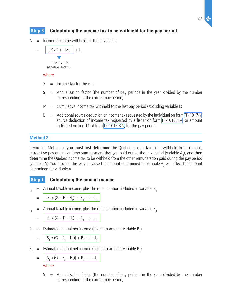# **Step 3 Calculating the income tax to be withheld for the pay period**

 $A =$  Income tax to be withheld for the pay period

$$
= \frac{[(Y / S_1) - M]}{Y}
$$

negative, enter 0.

#### where

- $Y =$  Income tax for the year
- $S_1$  = Annualization factor (the number of pay periods in the year, divided by the number corresponding to the current pay period)
- $M =$  Cumulative income tax withheld to the last pay period (excluding variable L)
- $L =$  Additional source deduction of income tax requested by the individual on form [TP-1017-V,](http://www.revenu.gouv.qc.ca/en/sepf/formulaires/tp/tp-1017.aspx) source deduction of income tax requested by a fisher on form [TP-1015.N-V](http://www.revenu.gouv.qc.ca/en/sepf/formulaires/tp/tp-1015_n.aspx), or amount indicated on line 11 of form [TP-1015.3-V,](http://www.revenu.gouv.qc.ca/en/sepf/formulaires/tp/tp-1015_3.aspx) for the pay period

### **Method 2**

If you use Method 2, you must first determine the Québec income tax to be withheld from a bonus, retroactive pay or similar lump-sum payment that you paid during the pay period (variable  $A_3$ ), and then determine the Québec income tax to be withheld from the other remuneration paid during the pay period (variable A). You proceed this way because the amount determined for variable  $A_3$  will affect the amount determined for variable A.

# **Step 1 Calculating the annual income**

I Annual taxable income, plus the remuneration included in variable  $B_3$ 

$$
= [S_1 \times (G - F - H_1)] + B_3 - J - J_1
$$

 $\int_{A}$ Annual taxable income, plus the remuneration included in variable  $B<sub>4</sub>$ 

$$
= | [S_1 \times (G - F - H_2)] + B_4 - J - J_1
$$

 $R_3$  = Estimated annual net income (take into account variable  $B_3$ )

$$
= \left[ [S_1 \times (G - F_2 - H_1)] + B_3 - J - J_1 \right]
$$

 $R_4$  = Estimated annual net income (take into account variable  $B_4$ )

$$
= \left[ \frac{[S_1 \times (G - F_2 - H_2)] + B_4 - J - J_1}{I_1} \right]
$$

where

 $S_1$  = Annualization factor (the number of pay periods in the year, divided by the number corresponding to the current pay period)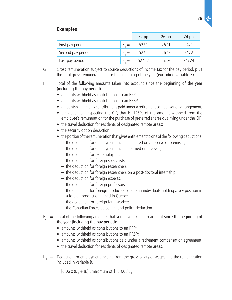# **Examples**

|                   | $52$ pp | $26$ pp | $24$ pp |
|-------------------|---------|---------|---------|
| First pay period  | 52/1    | 26/1    | 24/1    |
| Second pay period | 52/2    | 26/2    | 24/2    |
| Last pay period   | 52/52   | 26/26   | 24/24   |

- $G =$  Gross remuneration subject to source deductions of income tax for the pay period, plus the total gross remuneration since the beginning of the year (excluding variable B)
- $F =$  Total of the following amounts taken into account since the beginning of the year (including the pay period):
	- amounts withheld as contributions to an RPP;
	- amounts withheld as contributions to an RRSP;
	- amounts withheld as contributions paid under a retirement compensation arrangement;
	- the deduction respecting the CIP, that is, 125% of the amount withheld from the employee's remuneration for the purchase of preferred shares qualifying under the CIP;
	- the travel deduction for residents of designated remote areas;
	- the security option deduction;
	- the portion of the remuneration that gives entitlement to one of the following deductions:
		- $-$  the deduction for employment income situated on a reserve or premises,
		- $-$  the deduction for employment income earned on a vessel,
		- $-$  the deduction for IFC employees,
		- $-$  the deduction for foreign specialists,
		- $-$  the deduction for foreign researchers,
		- $-$  the deduction for foreign researchers on a post-doctoral internship,
		- $-$  the deduction for foreign experts,
		- $-$  the deduction for foreign professors,
		- $-$  the deduction for foreign producers or foreign individuals holding a key position in a foreign production filmed in Québec,
		- $-$  the deduction for foreign farm workers,
		- $-$  the Canadian Forces personnel and police deduction.
- $F<sub>2</sub>$  = Total of the following amounts that you have taken into account since the beginning of the year (including the pay period):
	- amounts withheld as contributions to an RPP:
	- amounts withheld as contributions to an RRSP;
	- amounts withheld as contributions paid under a retirement compensation agreement;
	- the travel deduction for residents of designated remote areas.
- $H_1$  = Deduction for employment income from the gross salary or wages and the remuneration included in variable  $B_3$ 
	- $=$  | [0.06 x (D<sub>1</sub> + B<sub>3</sub>)], maximum of \$1,100 / S<sub>1</sub>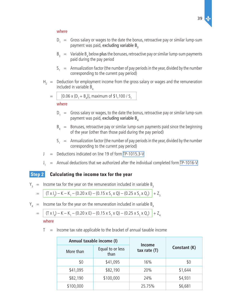#### where

- $D_1 =$  Gross salary or wages to the date the bonus, retroactive pay or similar lump-sum payment was paid, excluding variable  $B_3$
- $B_3 =$  Variable  $B_4$  below plus the bonuses, retroactive pay or similar lump-sum payments paid during the pay period
- $S_1$  = Annualization factor (the number of pay periods in the year, divided by the number corresponding to the current pay period)
- $H<sub>2</sub>$  = Deduction for employment income from the gross salary or wages and the remuneration included in variable  $B_{4}$

$$
= [0.06 \times (D_1 + B_4)], \text{ maximum of $1,100 / S_1$}
$$

#### where

- $D_1 =$  Gross salary or wages, to the date the bonus, retroactive pay or similar lump-sum payment was paid, excluding variable  $B_{\mu}$
- $B_{4}$  = Bonuses, retroactive pay or similar lump-sum payments paid since the beginning of the year (other than those paid during the pay period)
- $S_1$  = Annualization factor (the number of pay periods in the year, divided by the number corresponding to the current pay period)
- $J =$  Deductions indicated on line 19 of form [TP-1015.3-V](http://www.revenu.gouv.qc.ca/en/sepf/formulaires/tp/tp-1015_3.aspx)
- $\int_{A}$  $=$  Annual deductions that we authorized after the individual completed form [TP-1016-V](http://www.revenu.gouv.qc.ca/en/sepf/formulaires/tp/tp-1016.aspx)

# **Step 2 Calculating the income tax for the year**

 $Y_3$  = Income tax for the year on the remuneration included in variable  $B_3$ 

$$
= (Tx I_3) - K - K_1 - (0.20 x E) - (0.15 x S_1 x Q) - (0.25 x S_1 x Q_1) + Z_3
$$

 $Y_{4}$  = Income tax for the year on the remuneration included in variable B<sub>4</sub>

$$
= \left[ (T \times I_4) - K - K_1 - (0.20 \times E) - (0.15 \times S_1 \times Q) - (0.25 \times S_1 \times Q_1) \right] + Z_4
$$

where

 $T =$  Income tax rate applicable to the bracket of annual taxable income

| Annual taxable income (I) |                          |                                 |              |
|---------------------------|--------------------------|---------------------------------|--------------|
| More than                 | Equal to or less<br>than | <b>Income</b><br>tax rate $(T)$ | Constant (K) |
| \$0                       | \$41,095                 | 16%                             | \$0          |
| \$41,095                  | \$82,190                 | 20%                             | \$1,644      |
| \$82,190                  | \$100,000                | 24%                             | \$4,931      |
| \$100,000                 |                          | 25.75%                          | \$6,681      |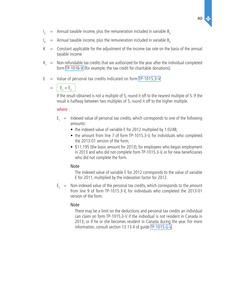- $\vert$  $=$  Annual taxable income, plus the remuneration included in variable B<sub>3</sub>
- $\int_{A}$  $=$  Annual taxable income, plus the remuneration included in variable  $B<sub>4</sub>$
- $K =$  Constant applicable for the adjustment of the income tax rate on the basis of the annual taxable income
- $K_1$  = Non-refundable tax credits that we authorized for the year after the individual completed form [TP-1016-V](http://www.revenu.gouv.qc.ca/en/sepf/formulaires/tp/tp-1016.aspx) (for example, the tax credit for charitable donations).
- $E =$  Value of personal tax credits indicated on form [TP-1015.3-V](http://www.revenu.gouv.qc.ca/en/sepf/formulaires/tp/tp-1015_3.aspx)

$$
= \boxed{\mathsf{E}_1 + \mathsf{E}_2}
$$

If the result obtained is not a multiple of 5, round it off to the nearest multiple of 5. If the result is halfway between two multiples of 5, round it off to the higher multiple.

#### where

- $E_1$  = Indexed value of personal tax credits, which corresponds to one of the following amounts:
	- the indexed value of variable E for 2012 multiplied by 1.0248;
	- the amount from line 7 of form TP-1015.3-V, for individuals who completed the 2013-01 version of the form;
	- \$11,195 (the basic amount for 2013), for employees who began employment in 2013 and who did not complete form TP-1015.3-V, or for new beneficiaries who did not complete the form.

#### Note

The indexed value of variable E for 2012 corresponds to the value of variable E for 2011, multiplied by the indexation factor for 2012.

 $E<sub>2</sub>$  = Non-indexed value of the personal tax credits, which corresponds to the amount from line 9 of form TP-1015.3-V, for individuals who completed the 2013-01 version of the form.

#### Note

There may be a limit on the deductions and personal tax credits an individual can claim on form TP‑1015.3-V if the individual is not resident in Canada in 2013, or if he or she becomes resident in Canada during the year. For more information, consult section 13.13.4 of guide [TP-1015.G-V](http://www.revenu.gouv.qc.ca/en/sepf/formulaires/tp/tp-1015_g.aspx).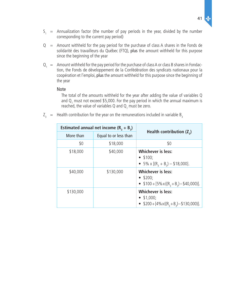$\Delta c$ 

- $S_1$  = Annualization factor (the number of pay periods in the year, divided by the number corresponding to the current pay period)
- $Q =$  Amount withheld for the pay period for the purchase of class A shares in the Fonds de solidarité des travailleurs du Québec (FTQ), plus the amount withheld for this purpose since the beginning of the year
- $Q_1$  = Amount withheld for the pay period for the purchase of class A or class B shares in Fondaction, the Fonds de développement de la Confédération des syndicats nationaux pour la coopération et l'emploi, plus the amount withheld for this purpose since the beginning of the year

#### Note

The total of the amounts withheld for the year after adding the value of variables Q and  $Q_1$  must not exceed \$5,000. For the pay period in which the annual maximum is reached, the value of variables Q and  $\mathsf{Q}_{_1}$  must be zero.

 $Z_3$  = Health contribution for the year on the remunerations included in variable B<sub>3</sub>

| Estimated annual net income $(R_1 + B_2)$ |                       |                                                                                               |
|-------------------------------------------|-----------------------|-----------------------------------------------------------------------------------------------|
| More than                                 | Equal to or less than | Health contribution $(Z_2)$                                                                   |
| \$0                                       | \$18,000              | \$0                                                                                           |
| \$18,000                                  | \$40,000              | <b>Whichever is less:</b><br>• 100;<br>• 5% x $[(R_3 + B_3) - $18,000]$ .                     |
| \$40,000                                  | \$130,000             | <b>Whichever is less:</b><br>• $$200;$<br>• $$100 + [5\% \times ((R_3 + B_3) - $40,000)].$    |
| \$130,000                                 |                       | <b>Whichever is less:</b><br>• $$1,000;$<br>• $$200 + [4\% \times ((R_3 + B_3) - $130,000)].$ |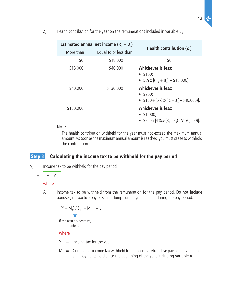| Estimated annual net income $(R_A + B_A)$ |                       |                                                                                                   |
|-------------------------------------------|-----------------------|---------------------------------------------------------------------------------------------------|
| More than                                 | Equal to or less than | Health contribution $(Z_{\lambda})$                                                               |
| \$0                                       | \$18,000              | \$0                                                                                               |
| \$18,000                                  | \$40,000              | <b>Whichever is less:</b><br>$•$ \$100;<br>• 5% x $[(R_A + B_A) - $18,000]$ .                     |
| \$40,000                                  | \$130,000             | <b>Whichever is less:</b><br>$\bullet$ \$200;<br>• $$100 + [5\% \times ((R_A + B_A) - $40,000)].$ |
| \$130,000                                 |                       | <b>Whichever is less:</b><br>• $$1,000;$<br>• $$200+[4\%x((RA+BA)-$130,000)].$                    |

 $Z_4$  = Health contribution for the year on the remunerations included in variable B<sub>4</sub>

Note

The health contribution withheld for the year must not exceed the maximum annual amount. As soon as the maximum annual amount is reached, you must cease to withhold the contribution.

# **Step 3 Calculating the income tax to be withheld for the pay period**

 $A<sub>A</sub>$  = Income tax to be withheld for the pay period

$$
= \frac{A + A_3}{\text{where}}
$$

 $A =$  Income tax to be withheld from the remuneration for the pay period. Do not include bonuses, retroactive pay or similar lump-sum payments paid during the pay period.

$$
= \boxed{[(Y - M_1) / S_1] - M} + L
$$
  
If the result is negative,  
enter 0.

#### where

- $Y =$  Income tax for the year
- $M_1$  = Cumulative income tax withheld from bonuses, retroactive pay or similar lumpsum payments paid since the beginning of the year, including variable  $A_3$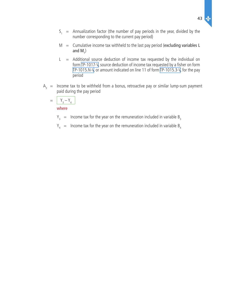- $S_1$  = Annualization factor (the number of pay periods in the year, divided by the number corresponding to the current pay period)
- $M =$  Cumulative income tax withheld to the last pay period (excluding variables L and  $M_{1}^{\,2}$
- $L$  = Additional source deduction of income tax requested by the individual on form TP-1017-V, source deduction of income tax requested by a fisher on form TP-1015.N-V, or amount indicated on line 11 of form TP-1015.3-V, for the pay period
- $A_3$  = Income tax to be withheld from a bonus, retroactive pay or similar lump-sum payment paid during the pay period

$$
= \frac{Y_3 - Y_4}{\text{where}}
$$

$$
Y_3
$$
 = Income tax for the year on the remuneration included in variable B<sub>3</sub>

 $Y_4$  = Income tax for the year on the remuneration included in variable B<sub>4</sub>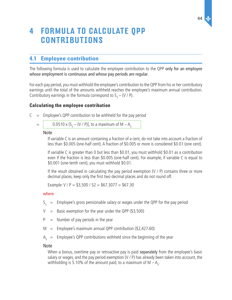# <span id="page-43-0"></span>4 Formula to calculate QPP **CONTRIBUTIONS**

# **4.1 Employee contribution**

The following formula is used to calculate the employee contribution to the QPP only for an employee whose employment is continuous and whose pay periods are regular.

For each pay period, you must withhold the employee's contribution to the QPP from his or her contributory earnings until the total of the amounts withheld reaches the employee's maximum annual contribution. Contributory earnings in the formula correspond to  $S_3 - (V / P)$ .

# **Calculating the employee contribution**

- $C =$  Employee's QPP contribution to be withheld for the pay period
	- $=$  0.0510 x [S<sub>3</sub> (V / P)], to a maximum of M A<sub>5</sub>

#### Note

If variable C is an amount containing a fraction of a cent, do not take into account a fraction of less than \$0.005 (one-half cent). A fraction of \$0.005 or more is considered \$0.01 (one cent).

If variable C is greater than 0 but less than \$0.01, you must withhold \$0.01 as a contribution even if the fraction is less than \$0.005 (one-half cent). For example, if variable C is equal to \$0.001 (one-tenth cent), you must withhold \$0.01.

If the result obtained in calculating the pay period exemption  $(V / P)$  contains three or more decimal places, keep only the first two decimal places and do not round off.

Example:  $V / P = $3,500 / 52 = $67.3077 = $67.30$ 

#### where

- $S_3$  = Employee's gross pensionable salary or wages under the QPP for the pay period
- $V =$  Basic exemption for the year under the QPP (\$3,500)
- $P =$  Number of pay periods in the year
- $M =$  Employee's maximum annual QPP contribution (\$2,427.60)
- $A_{5}$  = Employee's QPP contributions withheld since the beginning of the year

#### Note

When a bonus, overtime pay or retroactive pay is paid separately from the employee's basic salary or wages, and the pay period exemption (V / P) has already been taken into account, the withholding is 5.10% of the amount paid, to a maximum of M  $-A_{5}$ .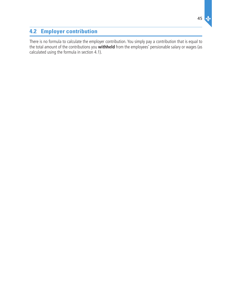# <span id="page-44-0"></span>**4.2 Employer contribution**

There is no formula to calculate the employer contribution. You simply pay a contribution that is equal to the total amount of the contributions you **withheld** from the employees' pensionable salary or wages (as calculated using the formula in section 4.1).

 $\Delta$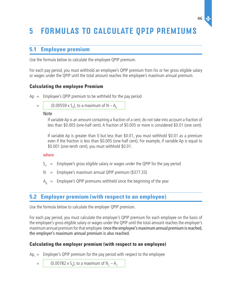# <span id="page-45-0"></span>5 Formulas to calculate QPIP premiums

# **5.1 Employee premium**

Use the formula below to calculate the employee QPIP premium.

For each pay period, you must withhold an employee's QPIP premium from his or her gross eligible salary or wages under the QPIP until the total amount reaches the employee's maximum annual premium.

# **Calculating the employee Premium**

 $Ap = Employee's QPIP premium to be withheld for the pay period$ 

= (0.00559 x S<sup>4</sup> ), to a maximum of N – A<sup>6</sup>

Note

If variable Ap is an amount containing a fraction of a cent, do not take into account a fraction of less than \$0.005 (one-half cent). A fraction of \$0.005 or more is considered \$0.01 (one cent).

If variable Ap is greater than 0 but less than \$0.01, you must withhold \$0.01 as a premium even if the fraction is less than \$0.005 (one-half cent). For example, if variable Ap is equal to \$0.001 (one-tenth cent), you must withhold \$0.01.

#### where

- $S_4$  = Employee's gross eligible salary or wages under the QPIP for the pay period
- $N =$  Employee's maximum annual QPIP premium (\$377.33)
- $A_6$  = Employee's QPIP premiums withheld since the beginning of the year

# **5.2 Employer premium (with respect to an employee)**

Use the formula below to calculate the employer QPIP premium.

For each pay period, you must calculate the employer's QPIP premium for each employee on the basis of the employee's gross eligible salary or wages under the QPIP until the total amount reaches the employer's maximum annual premium for that employee. Once the employee's maximum annual premium is reached, the employer's maximum annual premium is also reached.

# **Calculating the employer premium (with respect to an employee)**

 $Ap_1 =$  Employer's QPIP premium for the pay period with respect to the employee

 $=$   $\begin{bmatrix} 0.00782 \times S_{4} \end{bmatrix}$ , to a maximum of  $N_{1} - A_{7}$ 

46  $\Delta$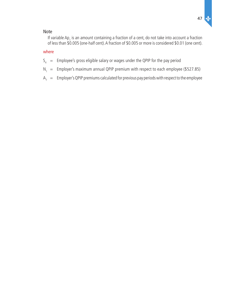

#### Note

If variable  $Ap_1$  is an amount containing a fraction of a cent, do not take into account a fraction of less than \$0.005 (one-half cent). A fraction of \$0.005 or more is considered \$0.01 (one cent).

#### where

- $S_4$  = Employee's gross eligible salary or wages under the QPIP for the pay period
- $N_1 =$  Employer's maximum annual QPIP premium with respect to each employee (\$527.85)
- ${\sf A}_7 \;\; = \;\;$  Employer's QPIP premiums calculated for previous pay periods with respect to the employee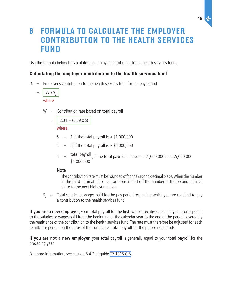# <span id="page-47-0"></span>6 Formula to calculate the employer contribution to the health services **FUND**

Use the formula below to calculate the employer contribution to the health services fund.

# **Calculating the employer contribution to the health services fund**

 $D_2$  = Employer's contribution to the health services fund for the pay period

 $=$  W x S<sub>2</sub> where

 $W =$  Contribution rate based on total payroll

$$
= \boxed{2.31 + (0.39 \times S)}
$$

### where

 $S = 1$ , if the total payroll is  $\leq$  \$1,000,000

S = 5, if the total payroll is  $\ge$  \$5,000,000

 $S = \frac{\text{total payoff}}{\text{total payoff}}$ , if the total payroll is between \$1,000,000 and \$5,000,000 \$1,000,000

# Note

The contribution rate must be rounded off to the second decimal place. When the number in the third decimal place is 5 or more, round off the number in the second decimal place to the next highest number.

$$
S_2
$$
 = Total salaries or wages paid for the pay period respectively which you are required to pay a contribution to the health services fund

**If you are a new employer**, your total payroll for the first two consecutive calendar years corresponds to the salaries or wages paid from the beginning of the calendar year to the end of the period covered by the remittance of the contribution to the health services fund. The rate must therefore be adjusted for each remittance period, on the basis of the cumulative total payroll for the preceding periods.

**If you are not a new employer**, your total payroll is generally equal to your total payroll for the preceding year.

For more information, see section 8.4.2 of guide [TP-1015.G-V](http://www.revenu.gouv.qc.ca/en/sepf/formulaires/tp/tp-1015_g.aspx).